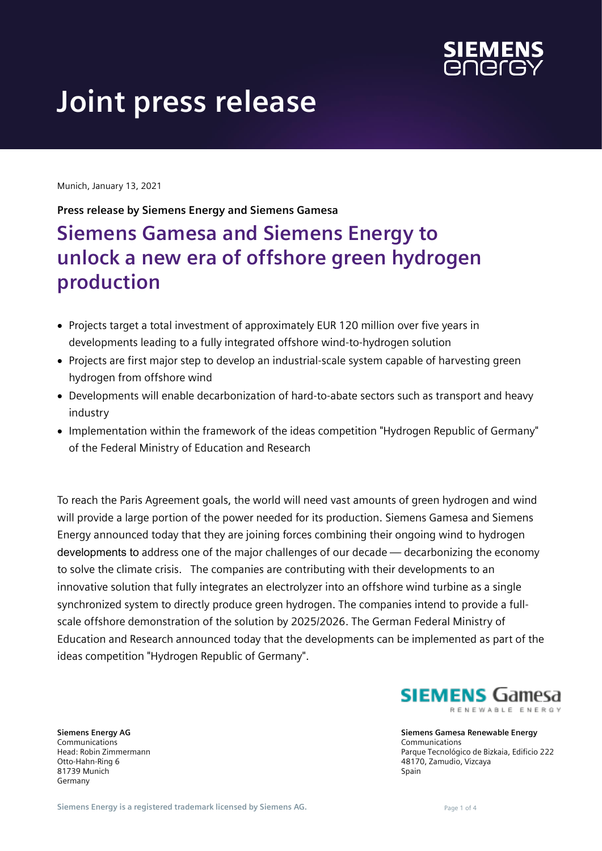

# **Joint press release**

Munich, January 13, 2021

**Press release by Siemens Energy and Siemens Gamesa**

## **Siemens Gamesa and Siemens Energy to unlock a new era of offshore green hydrogen production**

- Projects target a total investment of approximately EUR 120 million over five years in developments leading to a fully integrated offshore wind-to-hydrogen solution
- Projects are first major step to develop an industrial-scale system capable of harvesting green hydrogen from offshore wind
- Developments will enable decarbonization of hard-to-abate sectors such as transport and heavy industry
- Implementation within the framework of the ideas competition "Hydrogen Republic of Germany" of the Federal Ministry of Education and Research

To reach the Paris Agreement goals, the world will need vast amounts of green hydrogen and wind will provide a large portion of the power needed for its production. Siemens Gamesa and Siemens Energy announced today that they are joining forces combining their ongoing wind to hydrogen developments to address one of the major challenges of our decade — decarbonizing the economy to solve the climate crisis. The companies are contributing with their developments to an innovative solution that fully integrates an electrolyzer into an offshore wind turbine as a single synchronized system to directly produce green hydrogen. The companies intend to provide a fullscale offshore demonstration of the solution by 2025/2026. The German Federal Ministry of Education and Research announced today that the developments can be implemented as part of the ideas competition "Hydrogen Republic of Germany".

**Siemens Energy AG** Communications Head: Robin Zimmermann Otto-Hahn-Ring 6 81739 Munich Germany

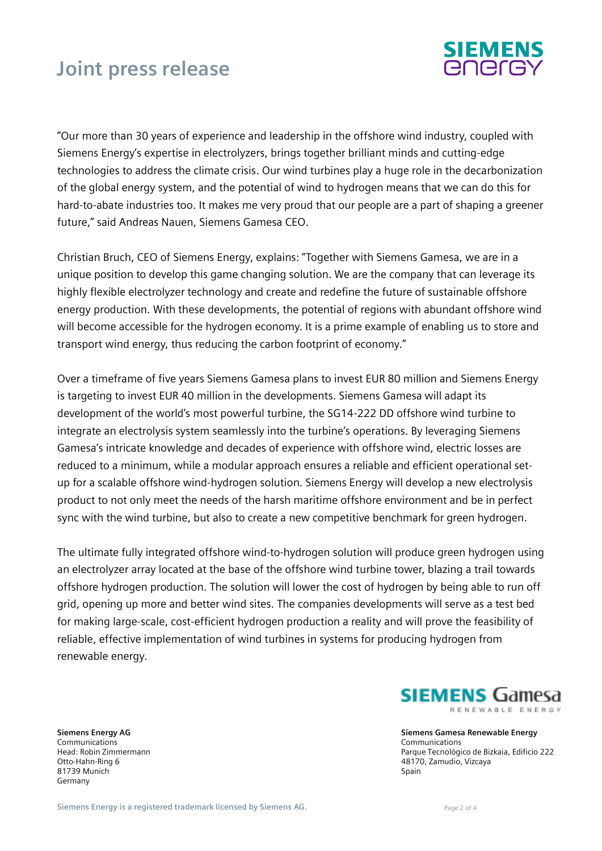# **Joint press release**



"Our more than 30 years of experience and leadership in the offshore wind industry, coupled with Siemens Energy's expertise in electrolyzers, brings together brilliant minds and cutting-edge technologies to address the climate crisis. Our wind turbines play a huge role in the decarbonization of the global energy system, and the potential of wind to hydrogen means that we can do this for hard-to-abate industries too. It makes me very proud that our people are a part of shaping a greener future," said Andreas Nauen, Siemens Gamesa CEO.

Christian Bruch, CEO of Siemens Energy, explains: "Together with Siemens Gamesa, we are in a unique position to develop this game changing solution. We are the company that can leverage its highly flexible electrolyzer technology and create and redefine the future of sustainable offshore energy production. With these developments, the potential of regions with abundant offshore wind will become accessible for the hydrogen economy. It is a prime example of enabling us to store and transport wind energy, thus reducing the carbon footprint of economy."

Over a timeframe of five years Siemens Gamesa plans to invest EUR 80 million and Siemens Energy is targeting to invest EUR 40 million in the developments. Siemens Gamesa will adapt its development of the world's most powerful turbine, the SG14-222 DD offshore wind turbine to integrate an electrolysis system seamlessly into the turbine's operations. By leveraging Siemens Gamesa's intricate knowledge and decades of experience with offshore wind, electric losses are reduced to a minimum, while a modular approach ensures a reliable and efficient operational setup for a scalable offshore wind-hydrogen solution. Siemens Energy will develop a new electrolysis product to not only meet the needs of the harsh maritime offshore environment and be in perfect sync with the wind turbine, but also to create a new competitive benchmark for green hydrogen.

The ultimate fully integrated offshore wind-to-hydrogen solution will produce green hydrogen using an electrolyzer array located at the base of the offshore wind turbine tower, blazing a trail towards offshore hydrogen production. The solution will lower the cost of hydrogen by being able to run off grid, opening up more and better wind sites. The companies developments will serve as a test bed for making large-scale, cost-efficient hydrogen production a reality and will prove the feasibility of reliable, effective implementation of wind turbines in systems for producing hydrogen from renewable energy.

**Siemens Energy AG** Communications Head: Robin Zimmermann Otto-Hahn-Ring 6 81739 Munich Germany

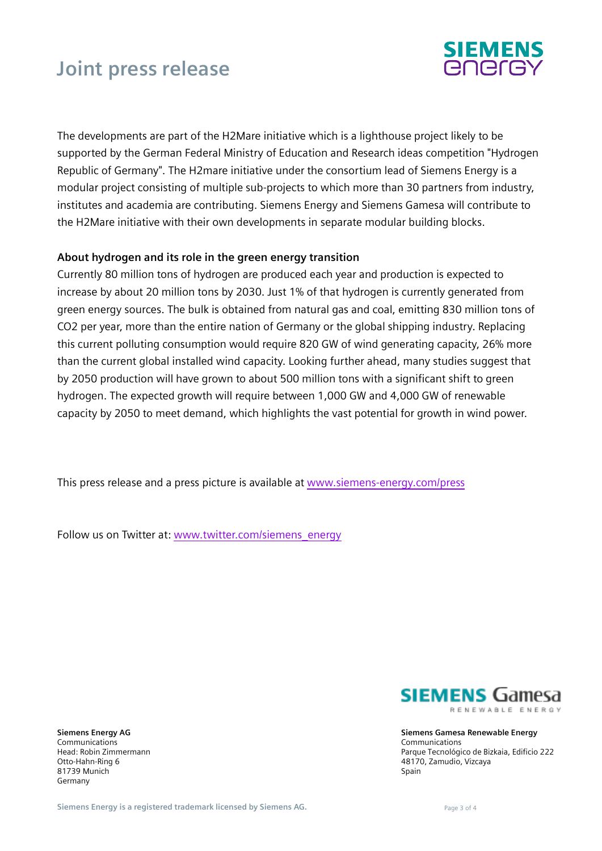# **Joint press release**



The developments are part of the H2Mare initiative which is a lighthouse project likely to be supported by the German Federal Ministry of Education and Research ideas competition "Hydrogen Republic of Germany". The H2mare initiative under the consortium lead of Siemens Energy is a modular project consisting of multiple sub-projects to which more than 30 partners from industry, institutes and academia are contributing. Siemens Energy and Siemens Gamesa will contribute to the H2Mare initiative with their own developments in separate modular building blocks.

### **About hydrogen and its role in the green energy transition**

Currently 80 million tons of hydrogen are produced each year and production is expected to increase by about 20 million tons by 2030. Just 1% of that hydrogen is currently generated from green energy sources. The bulk is obtained from natural gas and coal, emitting 830 million tons of CO2 per year, more than the entire nation of Germany or the global shipping industry. Replacing this current polluting consumption would require 820 GW of wind generating capacity, 26% more than the current global installed wind capacity. Looking further ahead, many studies suggest that by 2050 production will have grown to about 500 million tons with a significant shift to green hydrogen. The expected growth will require between 1,000 GW and 4,000 GW of renewable capacity by 2050 to meet demand, which highlights the vast potential for growth in wind power.

This press release and a press picture is available at [www.siemens-energy.com/press](https://press.siemens-energy.com/global/en/pressrelease/siemens-gamesa-and-siemens-energy-unlock-new-era-offshore-green-hydrogen-production)

Follow us on Twitter at: [www.twitter.com/siemens\\_energy](http://www.twitter.com/siemens_energy)

**Siemens Energy AG** Communications Head: Robin Zimmermann Otto-Hahn-Ring 6 81739 Munich Germany

**SIEMENS** Gamesa RENEWABLE ENERGY